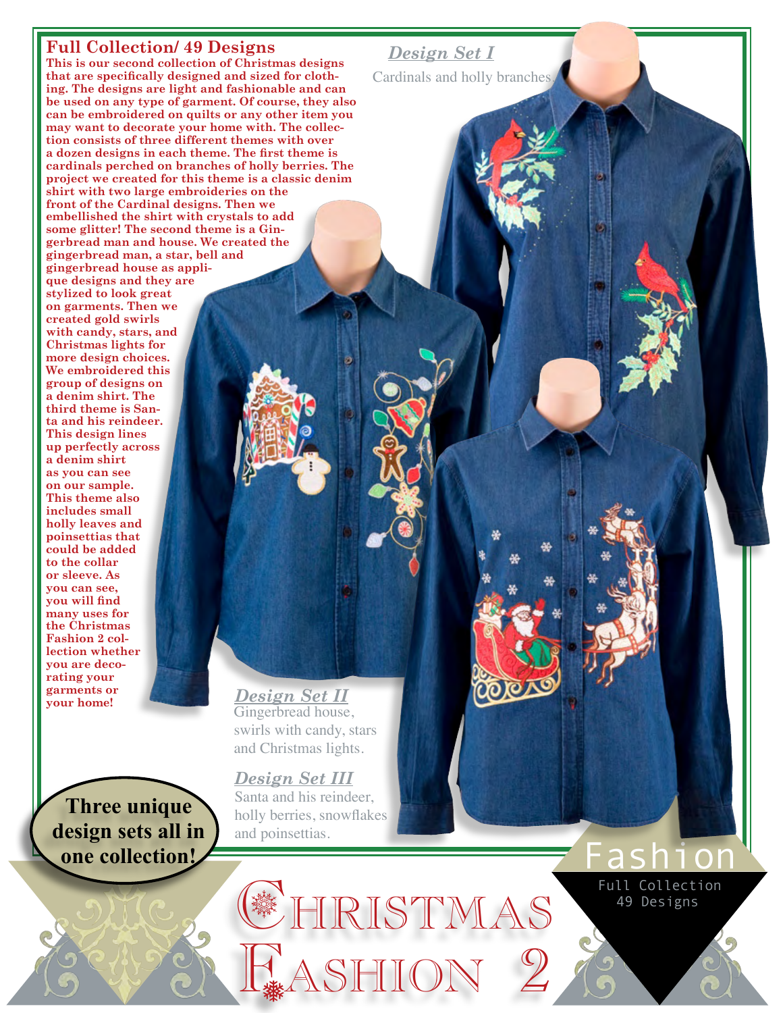## **Full Collection/ 49 Designs**

**This is our second collection of Christmas designs that are specifically designed and sized for clothing. The designs are light and fashionable and can be used on any type of garment. Of course, they also can be embroidered on quilts or any other item you may want to decorate your home with. The collection consists of three different themes with over a dozen designs in each theme. The first theme is cardinals perched on branches of holly berries. The project we created for this theme is a classic denim shirt with two large embroideries on the front of the Cardinal designs. Then we embellished the shirt with crystals to add some glitter! The second theme is a Gingerbread man and house. We created the gingerbread man, a star, bell and gingerbread house as appli-**

**que designs and they are stylized to look great on garments. Then we created gold swirls with candy, stars, and Christmas lights for more design choices. We embroidered this group of designs on a denim shirt. The third theme is Santa and his reindeer. This design lines up perfectly across a denim shirt as you can see on our sample. This theme also includes small holly leaves and poinsettias that could be added to the collar or sleeve. As you can see, you will find many uses for the Christmas Fashion 2 collection whether you are decorating your garments or your home!**

**Three unique design sets all in one collection!** 

Gingerbread house, swirls with candy, stars and Christmas lights. *Design Set II*

Santa and his reindeer, holly berries, snowflakes and poinsettias. *Design Set III*

Christmas

49 Designs Full Collection

Fashion

Fashion 2

## *Design Set I*

Cardinals and holly branches.